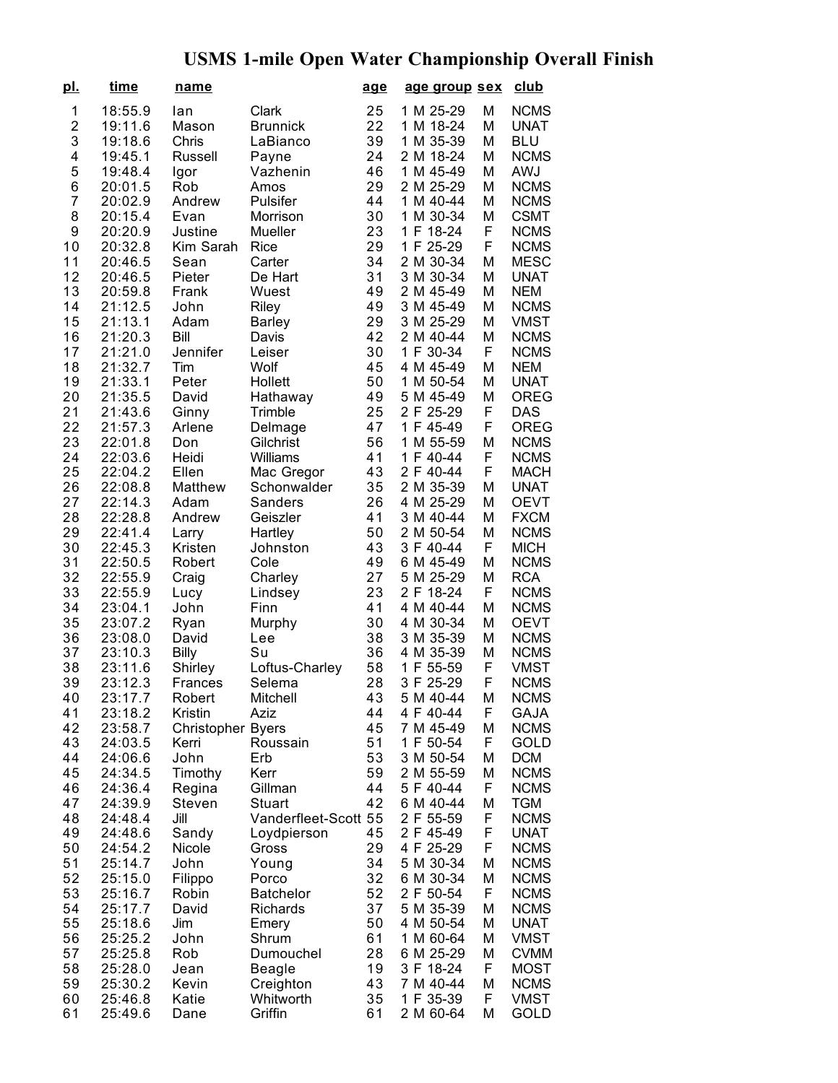## **USMS 1-mile Open Water Championship Overall Finish**

| <u>pl.</u>     | time               | name                     |                      | <u>age</u> | age group sex          |        | club                       |
|----------------|--------------------|--------------------------|----------------------|------------|------------------------|--------|----------------------------|
| $\mathbf 1$    | 18:55.9            | lan                      | Clark                | 25         | 1 M 25-29              | Μ      | <b>NCMS</b>                |
| $\overline{c}$ | 19:11.6            | Mason                    | <b>Brunnick</b>      | 22         | 1 M 18-24              | Μ      | <b>UNAT</b>                |
| 3              | 19:18.6            | Chris                    | LaBianco             | 39         | 1 M 35-39              | M      | <b>BLU</b>                 |
| 4              | 19:45.1            | <b>Russell</b>           | Payne                | 24         | 2 M 18-24              | Μ      | <b>NCMS</b>                |
| 5              | 19:48.4            | Igor                     | Vazhenin             | 46         | 1 M 45-49              | M      | <b>AWJ</b>                 |
| 6              | 20:01.5            | Rob                      | Amos                 | 29         | 2 M 25-29              | M      | <b>NCMS</b>                |
| 7              | 20:02.9            | Andrew                   | Pulsifer             | 44         | 1 M 40-44              | M      | <b>NCMS</b>                |
| 8              | 20:15.4            | Evan                     | Morrison             | 30         | 1 M 30-34              | M      | <b>CSMT</b>                |
| 9              | 20:20.9            | Justine                  | Mueller              | 23         | 1 F 18-24              | F      | <b>NCMS</b>                |
| 10             | 20:32.8            | Kim Sarah                | Rice                 | 29         | 1 F 25-29              | F      | <b>NCMS</b>                |
| 11             | 20:46.5            | Sean                     | Carter               | 34         | 2 M 30-34              | M      | <b>MESC</b>                |
| 12             | 20:46.5            | Pieter                   | De Hart              | 31         | 3 M 30-34              | M      | <b>UNAT</b>                |
| 13             | 20:59.8            | Frank                    | Wuest                | 49         | 2 M 45-49              | M      | <b>NEM</b>                 |
| 14             | 21:12.5            | John                     | Riley                | 49         | 3 M 45-49              | M      | <b>NCMS</b>                |
| 15             | 21:13.1            | Adam                     | <b>Barley</b>        | 29         | 3 M 25-29              | M      | <b>VMST</b>                |
| 16             | 21:20.3            | Bill                     | Davis                | 42         | 2 M 40-44              | M      | <b>NCMS</b>                |
| 17             | 21:21.0            | Jennifer                 | Leiser               | 30         | 1 F 30-34              | F      | <b>NCMS</b>                |
| 18             | 21:32.7            | Tim                      | Wolf                 | 45         | 4 M 45-49              | M      | <b>NEM</b>                 |
| 19             | 21:33.1            | Peter                    | Hollett              | 50         | 1 M 50-54              | M      | <b>UNAT</b>                |
| 20             | 21:35.5            | David                    | Hathaway             | 49         | 5 M 45-49              | M      | <b>OREG</b>                |
| 21             | 21:43.6            | Ginny                    | Trimble              | 25         | 2 F 25-29              | F      | <b>DAS</b>                 |
| 22             | 21:57.3            | Arlene                   | Delmage              | 47         | 1 F 45-49              | F      | <b>OREG</b>                |
| 23             | 22:01.8            | Don                      | Gilchrist            | 56         | 1 M 55-59              | М      | <b>NCMS</b>                |
| 24             | 22:03.6            | Heidi                    | Williams             | 41         | F 40-44<br>1           | F      | <b>NCMS</b>                |
| 25             | 22:04.2            | Ellen                    | Mac Gregor           | 43         | 2 F 40-44              | F      | <b>MACH</b>                |
| 26             | 22:08.8            | Matthew                  | Schonwalder          | 35         | 2 M 35-39              | M      | <b>UNAT</b>                |
| 27             | 22:14.3            | Adam                     | Sanders              | 26         | 4 M 25-29              | M      | <b>OEVT</b>                |
| 28             | 22:28.8            | Andrew                   | Geiszler             | 41         | 3 M 40-44              | M      | <b>FXCM</b>                |
| 29             | 22:41.4            | Larry                    | Hartley              | 50         | 2 M 50-54              | M      | <b>NCMS</b>                |
| 30             | 22:45.3            | Kristen                  | Johnston             | 43         | 3 F 40-44              | F      | <b>MICH</b>                |
| 31             | 22:50.5            | Robert                   | Cole                 | 49         | 6 M 45-49              | M      | <b>NCMS</b>                |
| 32             | 22:55.9            | Craig                    | Charley              | 27         | 5 M 25-29              | M      | <b>RCA</b>                 |
| 33             | 22:55.9            | Lucy                     | Lindsey              | 23<br>41   | 2 F 18-24              | F      | <b>NCMS</b>                |
| 34<br>35       | 23:04.1            | John                     | Finn                 | 30         | 4 M 40-44<br>4 M 30-34 | M<br>M | <b>NCMS</b><br><b>OEVT</b> |
| 36             | 23:07.2<br>23:08.0 | Ryan<br>David            | Murphy<br>Lee        | 38         | 3 M 35-39              | M      | <b>NCMS</b>                |
| 37             | 23:10.3            | Billy                    | Su                   | 36         | 4 M 35-39              | M      | <b>NCMS</b>                |
| 38             | 23:11.6            | Shirley                  | Loftus-Charley       | 58         | 1<br>F 55-59           | F      | <b>VMST</b>                |
| 39             | 23:12.3            | <b>Frances</b>           | Selema               | 28         | 3 F 25-29              | F      | <b>NCMS</b>                |
| 40             | 23:17.7            | Robert                   | Mitchell             | 43         | 5 M 40-44              | M      | <b>NCMS</b>                |
| 41             | 23:18.2            | Kristin                  | Aziz                 | 44         | 4 F 40-44              | F      | <b>GAJA</b>                |
| 42             | 23:58.7            | <b>Christopher Byers</b> |                      | 45         | 7 M 45-49              | M      | <b>NCMS</b>                |
| 43             | 24:03.5            | Kerri                    | Roussain             | 51         | 1 F 50-54              | F      | GOLD                       |
| 44             | 24:06.6            | John                     | Erb                  | 53         | 3 M 50-54              | M      | <b>DCM</b>                 |
| 45             | 24:34.5            | Timothy                  | Kerr                 | 59         | 2 M 55-59              | М      | <b>NCMS</b>                |
| 46             | 24:36.4            | Regina                   | Gillman              | 44         | 5 F 40-44              | F      | <b>NCMS</b>                |
| 47             | 24:39.9            | Steven                   | Stuart               | 42         | 6 M 40-44              | M      | <b>TGM</b>                 |
| 48             | 24:48.4            | Jill                     | Vanderfleet-Scott 55 |            | 2 F 55-59              | F      | <b>NCMS</b>                |
| 49             | 24:48.6            | Sandy                    | Loydpierson          | 45         | 2 F 45-49              | F      | <b>UNAT</b>                |
| 50             | 24:54.2            | Nicole                   | Gross                | 29         | 4 F 25-29              | F      | <b>NCMS</b>                |
| 51             | 25:14.7            | John                     | Young                | 34         | 5 M 30-34              | М      | <b>NCMS</b>                |
| 52             | 25:15.0            | Filippo                  | Porco                | 32         | 6 M 30-34              | М      | <b>NCMS</b>                |
| 53             | 25:16.7            | Robin                    | <b>Batchelor</b>     | 52         | 2 F 50-54              | F      | <b>NCMS</b>                |
| 54             | 25:17.7            | David                    | Richards             | 37         | 5 M 35-39              | M      | <b>NCMS</b>                |
| 55             | 25:18.6            | Jim                      | Emery                | 50         | 4 M 50-54              | M      | <b>UNAT</b>                |
| 56             | 25:25.2            | John                     | Shrum                | 61         | 1 M 60-64              | М      | <b>VMST</b>                |
| 57             | 25:25.8            | Rob                      | Dumouchel            | 28         | 6 M 25-29              | М      | <b>CVMM</b>                |
| 58             | 25:28.0            | Jean                     | <b>Beagle</b>        | 19         | 3 F 18-24              | F      | <b>MOST</b>                |
| 59             | 25:30.2            | Kevin                    | Creighton            | 43         | 7 M 40-44              | M      | <b>NCMS</b>                |
| 60             | 25:46.8            | Katie                    | Whitworth            | 35         | 1 F 35-39              | F      | VMST                       |
| 61             | 25:49.6            | Dane                     | Griffin              | 61         | 2 M 60-64              | M      | GOLD                       |